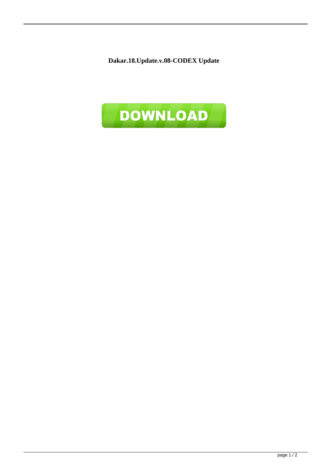**Dakar.18.Update.v.08-CODEX Update**